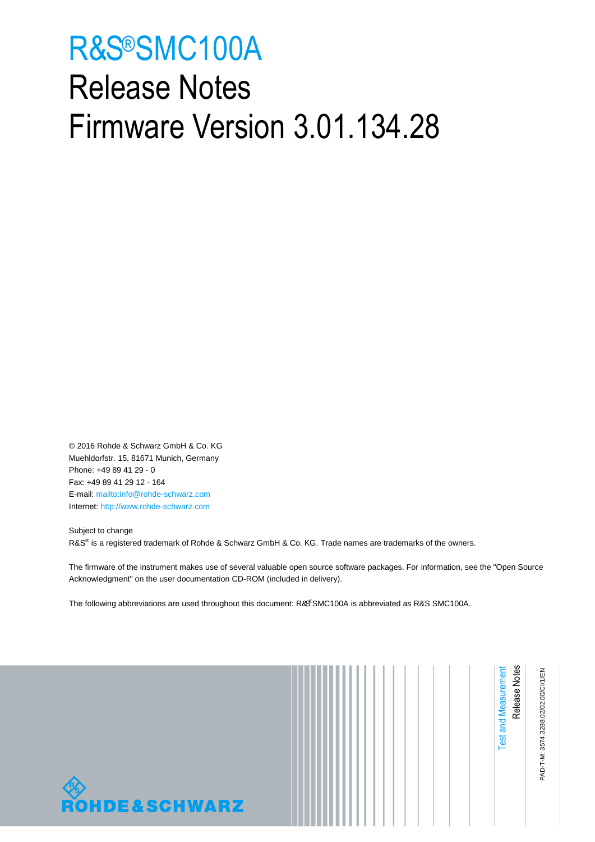# <span id="page-0-1"></span><span id="page-0-0"></span>R&S®SMC100A Release Notes Firmware Version 3.01.134.28

© 2016 Rohde & Schwarz GmbH & Co. KG Muehldorfstr. 15, 81671 Munich, Germany Phone: +49 89 41 29 - 0 Fax: +49 89 41 29 12 - 164 E-mail:<mailto:info@rohde-schwarz.com> Internet[: http://www.rohde-schwarz.com](http://www.rohde-schwarz.com/)

Subject to change R&S<sup>®</sup> is a registered trademark of Rohde & Schwarz GmbH & Co. KG. Trade names are trademarks of the owners.

The firmware of the instrument makes use of several valuable open source software packages. For information, see the "Open Source Acknowledgment" on the user documentation CD-ROM (included in delivery).

The following abbreviations are used throughout this document: R&S®[SMC100A](#page-0-0) is abbreviated as R&[S SMC100A.](#page-0-0)



|--|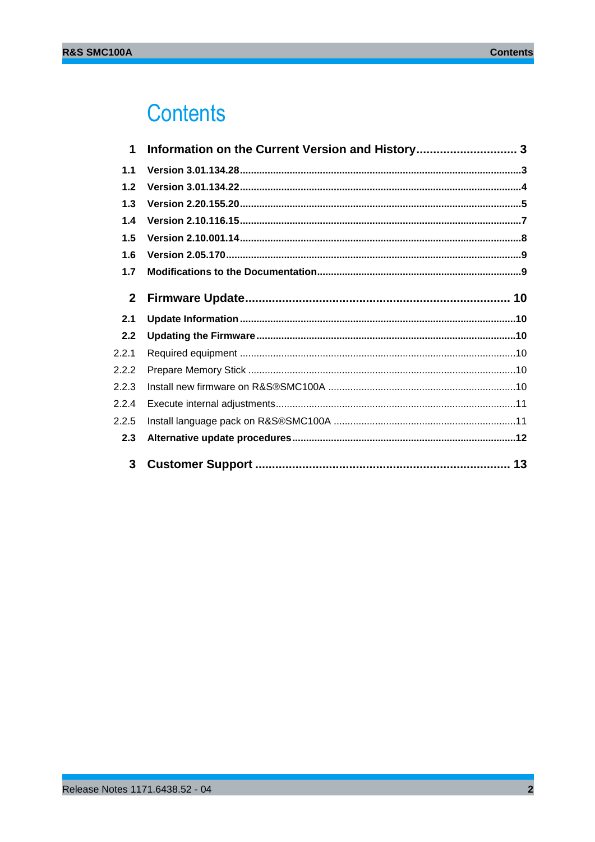## **Contents**

| 1            | Information on the Current Version and History 3 |  |
|--------------|--------------------------------------------------|--|
| 1.1          |                                                  |  |
| 1.2          |                                                  |  |
| 1.3          |                                                  |  |
| 1.4          |                                                  |  |
| 1.5          |                                                  |  |
| 1.6          |                                                  |  |
| 1.7          |                                                  |  |
| $\mathbf{2}$ |                                                  |  |
| 2.1          |                                                  |  |
| 2.2          |                                                  |  |
| 2.2.1        |                                                  |  |
| 2.2.2        |                                                  |  |
| 2.2.3        |                                                  |  |
| 2.2.4        |                                                  |  |
| 2.2.5        |                                                  |  |
| 2.3          |                                                  |  |
|              |                                                  |  |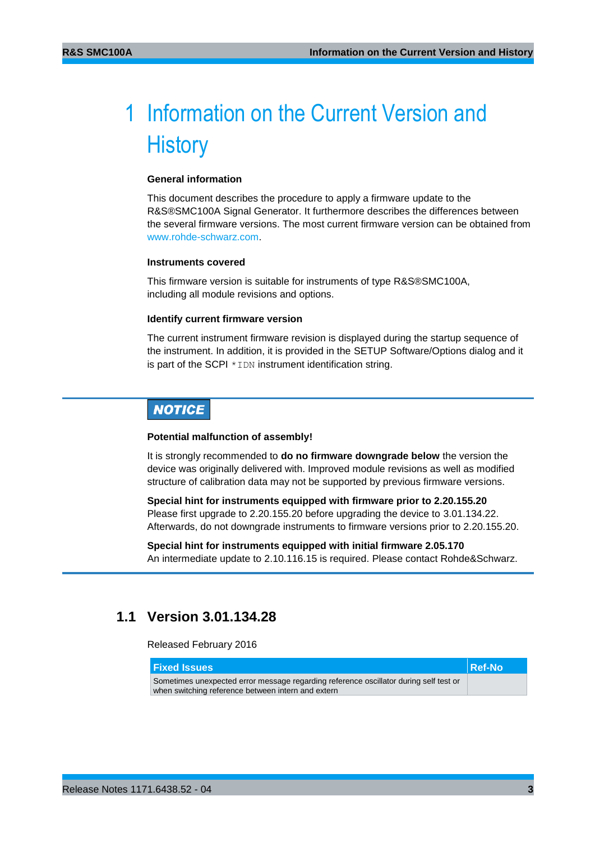## <span id="page-2-0"></span>1 Information on the Current Version and **History**

#### **General information**

This document describes the procedure to apply a firmware update to the R&S®SMC100A Signal Generator. It furthermore describes the differences between the several firmware versions. The most current firmware version can be obtained from [www.rohde-schwarz.com.](http://www.rohde-schwarz.com/)

#### **Instruments covered**

This firmware version is suitable for instruments of type R&S®SMC100A, including all module revisions and options.

#### **Identify current firmware version**

The current instrument firmware revision is displayed during the startup sequence of the instrument. In addition, it is provided in the SETUP Software/Options dialog and it is part of the SCPI  $*$  IDN instrument identification string.

## **NOTICE**

#### **Potential malfunction of assembly!**

It is strongly recommended to **do no firmware downgrade below** the version the device was originally delivered with. Improved module revisions as well as modified structure of calibration data may not be supported by previous firmware versions.

**Special hint for instruments equipped with firmware prior to 2.20.155.20** Please first upgrade to 2.20.155.20 before upgrading the device to 3.01.134.22. Afterwards, do not downgrade instruments to firmware versions prior to 2.20.155.20.

**Special hint for instruments equipped with initial firmware 2.05.170** An intermediate update to 2.10.116.15 is required. Please contact Rohde&Schwarz.

## <span id="page-2-1"></span>**1.1 Version 3.01.134.28**

Released February 2016

| <b>Fixed Issues</b>                                                                   | Ref-No |
|---------------------------------------------------------------------------------------|--------|
| Sometimes unexpected error message regarding reference oscillator during self test or |        |
| when switching reference between intern and extern                                    |        |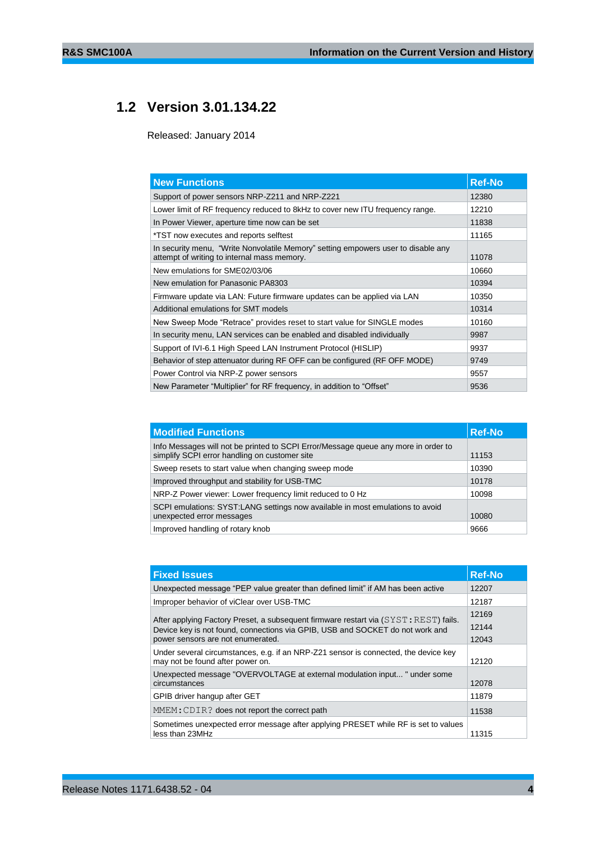## **1.2 Version 3.01.134.22**

<span id="page-3-0"></span>Released: January 2014

| <b>New Functions</b>                                                                                                             | <b>Ref-No</b> |
|----------------------------------------------------------------------------------------------------------------------------------|---------------|
| Support of power sensors NRP-Z211 and NRP-Z221                                                                                   | 12380         |
| Lower limit of RF frequency reduced to 8kHz to cover new ITU frequency range.                                                    | 12210         |
| In Power Viewer, aperture time now can be set                                                                                    | 11838         |
| *TST now executes and reports selftest                                                                                           | 11165         |
| In security menu, "Write Nonvolatile Memory" setting empowers user to disable any<br>attempt of writing to internal mass memory. | 11078         |
| New emulations for SME02/03/06                                                                                                   | 10660         |
| New emulation for Panasonic PA8303                                                                                               | 10394         |
| Firmware update via LAN: Future firmware updates can be applied via LAN                                                          | 10350         |
| Additional emulations for SMT models                                                                                             | 10314         |
| New Sweep Mode "Retrace" provides reset to start value for SINGLE modes                                                          | 10160         |
| In security menu, LAN services can be enabled and disabled individually                                                          | 9987          |
| Support of IVI-6.1 High Speed LAN Instrument Protocol (HISLIP)                                                                   | 9937          |
| Behavior of step attenuator during RF OFF can be configured (RF OFF MODE)                                                        | 9749          |
| Power Control via NRP-Z power sensors                                                                                            | 9557          |
| New Parameter "Multiplier" for RF frequency, in addition to "Offset"                                                             | 9536          |

| <b>Modified Functions</b>                                                                                                           | <b>Ref-No</b> |
|-------------------------------------------------------------------------------------------------------------------------------------|---------------|
| Info Messages will not be printed to SCPI Error/Message queue any more in order to<br>simplify SCPI error handling on customer site | 11153         |
| Sweep resets to start value when changing sweep mode                                                                                | 10390         |
| Improved throughput and stability for USB-TMC                                                                                       | 10178         |
| NRP-Z Power viewer: Lower frequency limit reduced to 0 Hz                                                                           | 10098         |
| SCPI emulations: SYST:LANG settings now available in most emulations to avoid<br>unexpected error messages                          | 10080         |
| Improved handling of rotary knob                                                                                                    | 9666          |

| <b>Fixed Issues</b>                                                                                                                                                   | <b>Ref-No</b>  |
|-----------------------------------------------------------------------------------------------------------------------------------------------------------------------|----------------|
| Unexpected message "PEP value greater than defined limit" if AM has been active                                                                                       | 12207          |
| Improper behavior of viClear over USB-TMC                                                                                                                             | 12187          |
| After applying Factory Preset, a subsequent firmware restart via (SYST: REST) fails.<br>Device key is not found, connections via GPIB, USB and SOCKET do not work and | 12169<br>12144 |
| power sensors are not enumerated.                                                                                                                                     | 12043          |
| Under several circumstances, e.g. if an NRP-Z21 sensor is connected, the device key<br>may not be found after power on.                                               | 12120          |
| Unexpected message "OVERVOLTAGE at external modulation input " under some<br>circumstances                                                                            | 12078          |
| GPIB driver hangup after GET                                                                                                                                          | 11879          |
| MMEM: CDIR? does not report the correct path                                                                                                                          | 11538          |
| Sometimes unexpected error message after applying PRESET while RF is set to values<br>less than 23MHz                                                                 | 11315          |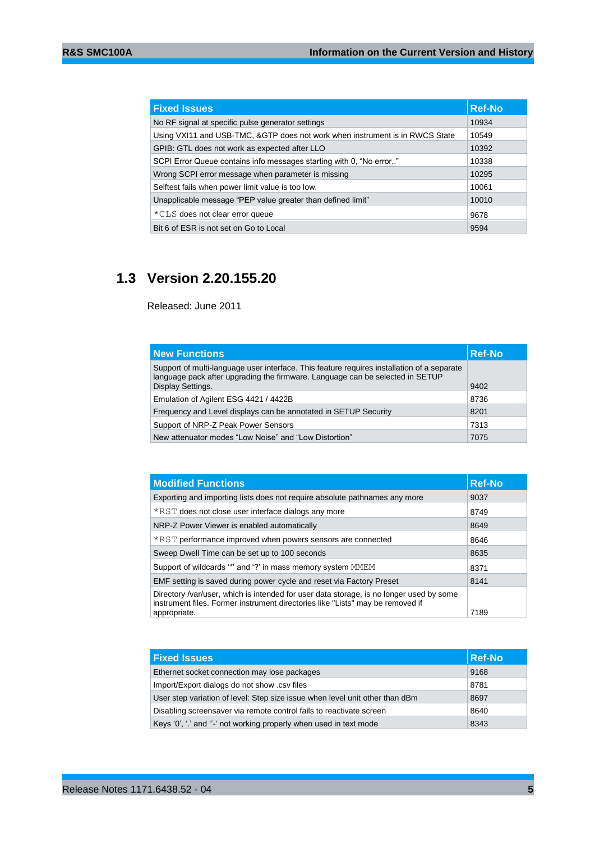| <b>Fixed Issues</b>                                                          | <b>Ref-No</b> |
|------------------------------------------------------------------------------|---------------|
| No RF signal at specific pulse generator settings                            | 10934         |
| Using VXI11 and USB-TMC, &GTP does not work when instrument is in RWCS State | 10549         |
| GPIB: GTL does not work as expected after LLO                                | 10392         |
| SCPI Error Queue contains info messages starting with 0, "No error"          | 10338         |
| Wrong SCPI error message when parameter is missing                           | 10295         |
| Selftest fails when power limit value is too low.                            | 10061         |
| Unapplicable message "PEP value greater than defined limit"                  | 10010         |
| *CLS does not clear error queue                                              | 9678          |
| Bit 6 of ESR is not set on Go to Local                                       | 9594          |

## <span id="page-4-0"></span>**1.3 Version 2.20.155.20**

Released: June 2011

| <b>New Functions</b>                                                                                                                                                                             | <b>Ref-No</b> |
|--------------------------------------------------------------------------------------------------------------------------------------------------------------------------------------------------|---------------|
| Support of multi-language user interface. This feature requires installation of a separate<br>language pack after upgrading the firmware. Language can be selected in SETUP<br>Display Settings. | 9402          |
| Emulation of Agilent ESG 4421 / 4422B                                                                                                                                                            | 8736          |
| Frequency and Level displays can be annotated in SETUP Security                                                                                                                                  | 8201          |
| Support of NRP-Z Peak Power Sensors                                                                                                                                                              | 7313          |
| New attenuator modes "Low Noise" and "Low Distortion"                                                                                                                                            | 7075          |

| <b>Modified Functions</b>                                                                                                                                                 | <b>Ref-No</b> |
|---------------------------------------------------------------------------------------------------------------------------------------------------------------------------|---------------|
| Exporting and importing lists does not require absolute pathnames any more                                                                                                | 9037          |
| *RST does not close user interface dialogs any more                                                                                                                       | 8749          |
| NRP-Z Power Viewer is enabled automatically                                                                                                                               | 8649          |
| *RST performance improved when powers sensors are connected                                                                                                               | 8646          |
| Sweep Dwell Time can be set up to 100 seconds                                                                                                                             | 8635          |
| Support of wildcards "" and "?" in mass memory system MMEM                                                                                                                | 8371          |
| EMF setting is saved during power cycle and reset via Factory Preset                                                                                                      | 8141          |
| Directory /var/user, which is intended for user data storage, is no longer used by some<br>instrument files. Former instrument directories like "Lists" may be removed if |               |
| appropriate.                                                                                                                                                              | 7189          |

| <b>Fixed Issues</b>                                                          | <b>Ref-No</b> |
|------------------------------------------------------------------------------|---------------|
| Ethernet socket connection may lose packages                                 | 9168          |
| Import/Export dialogs do not show .csv files                                 | 8781          |
| User step variation of level: Step size issue when level unit other than dBm | 8697          |
| Disabling screensaver via remote control fails to reactivate screen          | 8640          |
| Keys '0', '.' and "-' not working properly when used in text mode            | 8343          |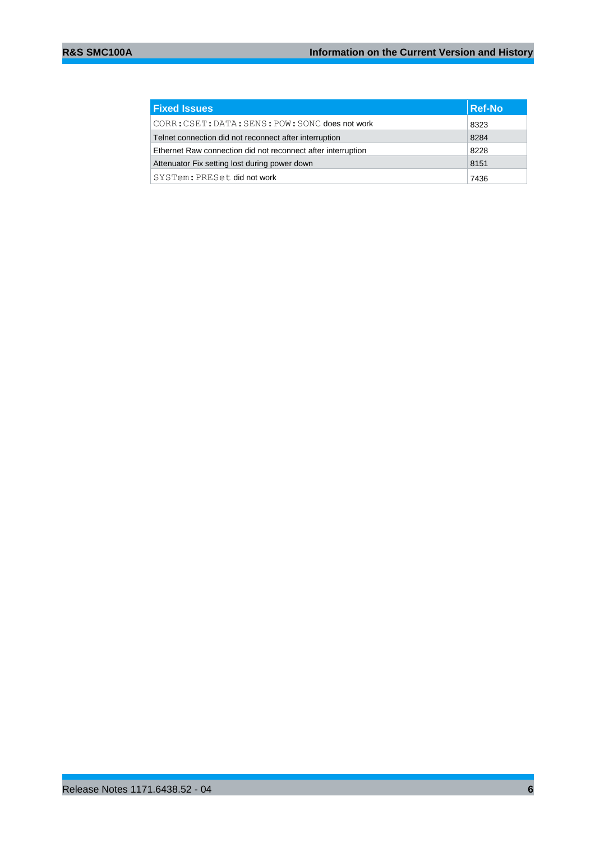| <b>Fixed Issues</b>                                          | <b>Ref-No</b> |
|--------------------------------------------------------------|---------------|
| CORR: CSET: DATA: SENS: POW: SONC does not work              | 8323          |
| Telnet connection did not reconnect after interruption       | 8284          |
| Ethernet Raw connection did not reconnect after interruption | 8228          |
| Attenuator Fix setting lost during power down                | 8151          |
| SYSTem: PRESet did not work                                  | 7436          |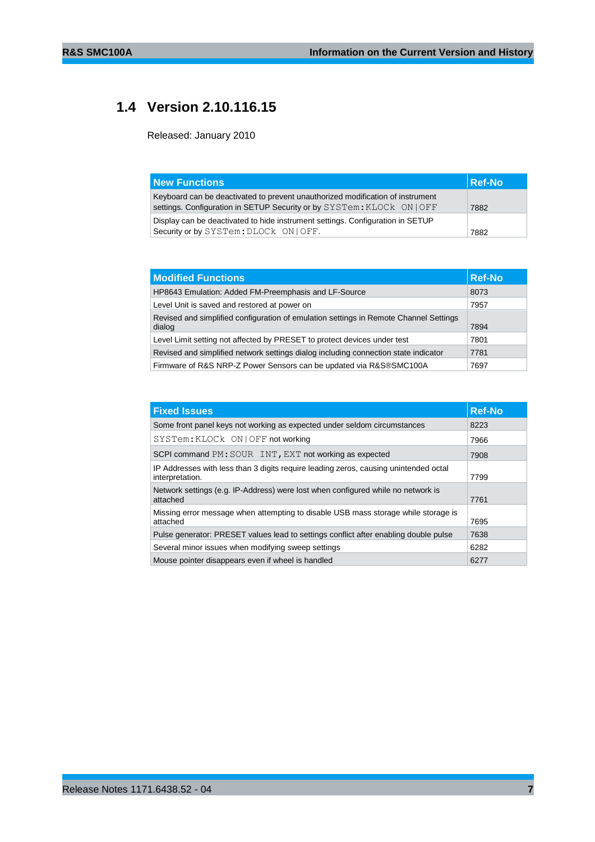## <span id="page-6-0"></span>**1.4 Version 2.10.116.15**

Released: January 2010

| <b>New Functions</b>                                                                                                                                     | Ref-No |
|----------------------------------------------------------------------------------------------------------------------------------------------------------|--------|
| Keyboard can be deactivated to prevent unauthorized modification of instrument<br>settings. Configuration in SETUP Security or by SYSTem: KLOCk ON   OFF | 7882   |
| Display can be deactivated to hide instrument settings. Configuration in SETUP                                                                           |        |
| Security or by SYSTem: DLOCk ON   OFF.                                                                                                                   | 7882   |

| <b>Modified Functions</b>                                                                       | <b>Ref-No</b> |
|-------------------------------------------------------------------------------------------------|---------------|
| HP8643 Emulation: Added FM-Preemphasis and LF-Source                                            | 8073          |
| Level Unit is saved and restored at power on                                                    | 7957          |
| Revised and simplified configuration of emulation settings in Remote Channel Settings<br>dialog | 7894          |
| Level Limit setting not affected by PRESET to protect devices under test                        | 7801          |
| Revised and simplified network settings dialog including connection state indicator             | 7781          |
| Firmware of R&S NRP-Z Power Sensors can be updated via R&S®SMC100A                              | 7697          |

| <b>Fixed Issues</b>                                                                                     | <b>Ref-No</b> |
|---------------------------------------------------------------------------------------------------------|---------------|
| Some front panel keys not working as expected under seldom circumstances                                | 8223          |
| SYSTem: KLOCk ON   OFF not working                                                                      | 7966          |
| SCPI command PM: SOUR INT, EXT not working as expected                                                  | 7908          |
| IP Addresses with less than 3 digits require leading zeros, causing unintended octal<br>interpretation. | 7799          |
| Network settings (e.g. IP-Address) were lost when configured while no network is<br>attached            | 7761          |
| Missing error message when attempting to disable USB mass storage while storage is<br>attached          | 7695          |
| Pulse generator: PRESET values lead to settings conflict after enabling double pulse                    | 7638          |
| Several minor issues when modifying sweep settings                                                      | 6282          |
| Mouse pointer disappears even if wheel is handled                                                       | 6277          |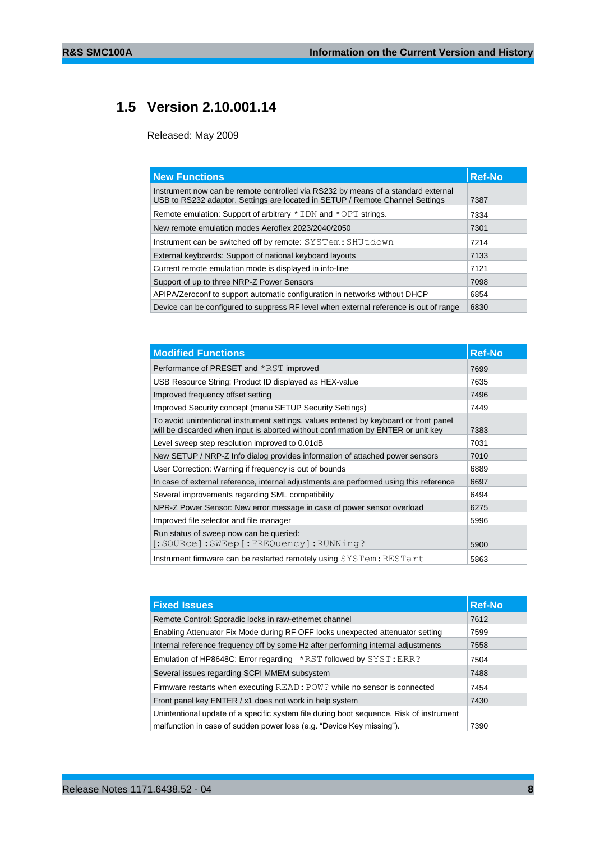## <span id="page-7-0"></span>**1.5 Version 2.10.001.14**

Released: May 2009

| <b>New Functions</b>                                                                                                                                               | <b>Ref-No</b> |
|--------------------------------------------------------------------------------------------------------------------------------------------------------------------|---------------|
| Instrument now can be remote controlled via RS232 by means of a standard external<br>USB to RS232 adaptor. Settings are located in SETUP / Remote Channel Settings | 7387          |
| Remote emulation: Support of arbitrary $*$ IDN and $*$ OPT strings.                                                                                                | 7334          |
| New remote emulation modes Aeroflex 2023/2040/2050                                                                                                                 | 7301          |
| Instrument can be switched off by remote: SYSTem: SHUtdown                                                                                                         | 7214          |
| External keyboards: Support of national keyboard layouts                                                                                                           | 7133          |
| Current remote emulation mode is displayed in info-line                                                                                                            | 7121          |
| Support of up to three NRP-Z Power Sensors                                                                                                                         | 7098          |
| APIPA/Zeroconf to support automatic configuration in networks without DHCP                                                                                         | 6854          |
| Device can be configured to suppress RF level when external reference is out of range                                                                              | 6830          |

| <b>Modified Functions</b>                                                                                                                                                  | <b>Ref-No</b> |
|----------------------------------------------------------------------------------------------------------------------------------------------------------------------------|---------------|
| Performance of PRESET and *RST improved                                                                                                                                    | 7699          |
| USB Resource String: Product ID displayed as HEX-value                                                                                                                     | 7635          |
| Improved frequency offset setting                                                                                                                                          | 7496          |
| Improved Security concept (menu SETUP Security Settings)                                                                                                                   | 7449          |
| To avoid unintentional instrument settings, values entered by keyboard or front panel<br>will be discarded when input is aborted without confirmation by ENTER or unit key | 7383          |
| Level sweep step resolution improved to 0.01dB<br>7031                                                                                                                     |               |
| New SETUP / NRP-Z Info dialog provides information of attached power sensors                                                                                               | 7010          |
| User Correction: Warning if frequency is out of bounds                                                                                                                     | 6889          |
| In case of external reference, internal adjustments are performed using this reference                                                                                     | 6697          |
| Several improvements regarding SML compatibility                                                                                                                           | 6494          |
| NPR-Z Power Sensor: New error message in case of power sensor overload                                                                                                     | 6275          |
| Improved file selector and file manager                                                                                                                                    | 5996          |
| Run status of sweep now can be queried:<br>[:SOURce]:SWEep[:FREQuency]:RUNNing?                                                                                            | 5900          |
| Instrument firmware can be restarted remotely using SYSTem: RESTart                                                                                                        | 5863          |

| <b>Fixed Issues</b>                                                                     | <b>Ref-No</b> |
|-----------------------------------------------------------------------------------------|---------------|
| Remote Control: Sporadic locks in raw-ethernet channel                                  | 7612          |
| Enabling Attenuator Fix Mode during RF OFF locks unexpected attenuator setting          | 7599          |
| Internal reference frequency off by some Hz after performing internal adjustments       | 7558          |
| Emulation of HP8648C: Error regarding $*$ RST followed by SYST: ERR?                    | 7504          |
| Several issues regarding SCPI MMEM subsystem                                            | 7488          |
| Firmware restarts when executing READ: POW? while no sensor is connected                | 7454          |
| Front panel key ENTER / x1 does not work in help system                                 | 7430          |
| Unintentional update of a specific system file during boot sequence. Risk of instrument |               |
| malfunction in case of sudden power loss (e.g. "Device Key missing").                   | 7390          |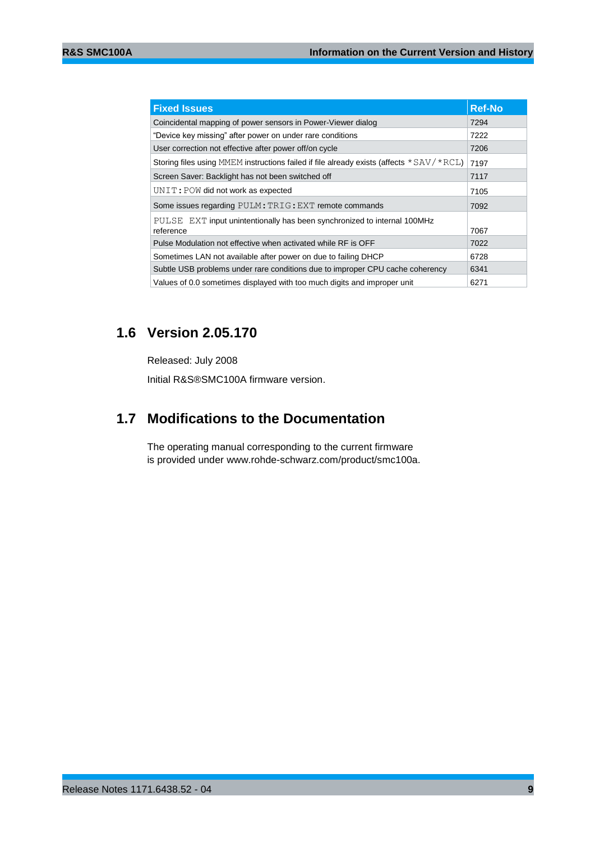| <b>Fixed Issues</b>                                                                        | <b>Ref-No</b> |
|--------------------------------------------------------------------------------------------|---------------|
| Coincidental mapping of power sensors in Power-Viewer dialog                               | 7294          |
| "Device key missing" after power on under rare conditions                                  | 7222          |
| User correction not effective after power off/on cycle                                     | 7206          |
| Storing files using MMEM instructions failed if file already exists (affects $*SAV/*RCL$ ) | 7197          |
| Screen Saver: Backlight has not been switched off                                          | 7117          |
| UNIT: POW did not work as expected                                                         | 7105          |
| Some issues regarding PULM: TRIG: EXT remote commands                                      | 7092          |
| PULSE EXT input unintentionally has been synchronized to internal 100MHz<br>reference      | 7067          |
| Pulse Modulation not effective when activated while RF is OFF                              | 7022          |
| Sometimes LAN not available after power on due to failing DHCP                             | 6728          |
| Subtle USB problems under rare conditions due to improper CPU cache coherency              | 6341          |
| Values of 0.0 sometimes displayed with too much digits and improper unit                   | 6271          |

## <span id="page-8-0"></span>**1.6 Version 2.05.170**

Released: July 2008 Initial R&S®SMC100A firmware version.

## <span id="page-8-1"></span>**1.7 Modifications to the Documentation**

The operating manual corresponding to the current firmware is provided under www.rohde-schwarz.com/product/smc100a.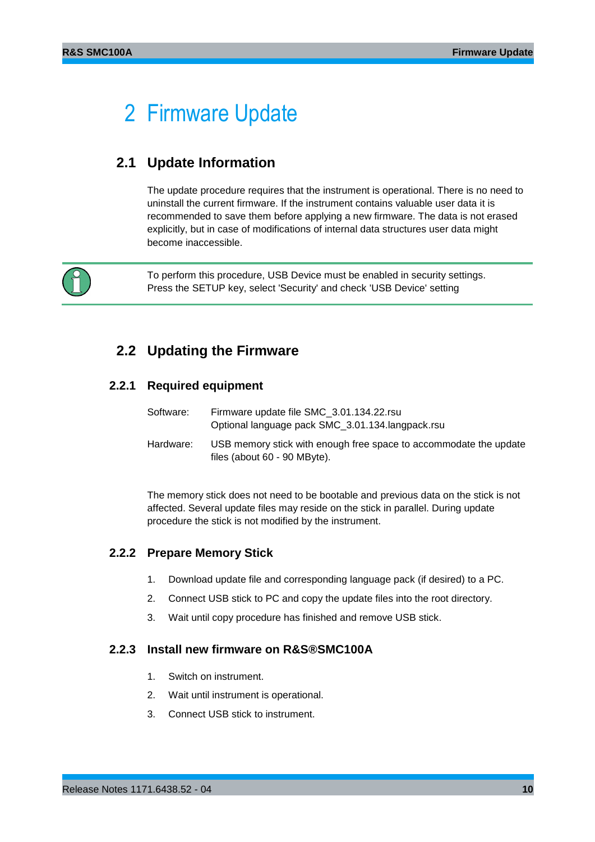## <span id="page-9-0"></span>2 Firmware Update

## <span id="page-9-1"></span>**2.1 Update Information**

The update procedure requires that the instrument is operational. There is no need to uninstall the current firmware. If the instrument contains valuable user data it is recommended to save them before applying a new firmware. The data is not erased explicitly, but in case of modifications of internal data structures user data might become inaccessible.



To perform this procedure, USB Device must be enabled in security settings. Press the SETUP key, select 'Security' and check 'USB Device' setting

## <span id="page-9-2"></span>**2.2 Updating the Firmware**

### **2.2.1 Required equipment**

<span id="page-9-3"></span>

| Software: | Firmware update file SMC 3.01.134.22.rsu<br>Optional language pack SMC_3.01.134.langpack.rsu      |
|-----------|---------------------------------------------------------------------------------------------------|
| Hardware: | USB memory stick with enough free space to accommodate the update<br>files (about 60 - 90 MByte). |

The memory stick does not need to be bootable and previous data on the stick is not affected. Several update files may reside on the stick in parallel. During update procedure the stick is not modified by the instrument.

### <span id="page-9-4"></span>**2.2.2 Prepare Memory Stick**

- 1. Download update file and corresponding language pack (if desired) to a PC.
- 2. Connect USB stick to PC and copy the update files into the root directory.
- <span id="page-9-5"></span>3. Wait until copy procedure has finished and remove USB stick.

### **2.2.3 Install new firmware on R&S®SMC100A**

- 1. Switch on instrument.
- 2. Wait until instrument is operational.
- 3. Connect USB stick to instrument.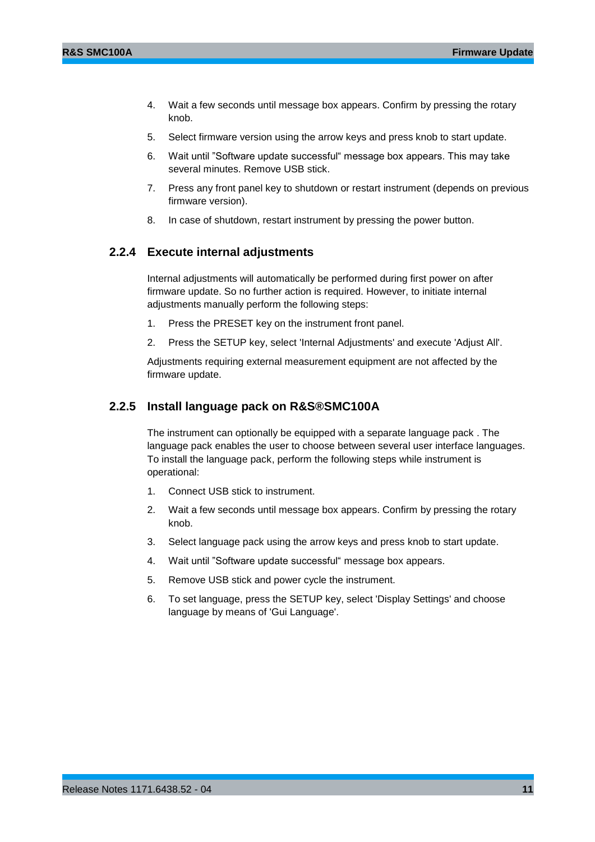- 4. Wait a few seconds until message box appears. Confirm by pressing the rotary knob.
- 5. Select firmware version using the arrow keys and press knob to start update.
- 6. Wait until "Software update successful" message box appears. This may take several minutes. Remove USB stick.
- 7. Press any front panel key to shutdown or restart instrument (depends on previous firmware version).
- <span id="page-10-0"></span>8. In case of shutdown, restart instrument by pressing the power button.

### **2.2.4 Execute internal adjustments**

Internal adjustments will automatically be performed during first power on after firmware update. So no further action is required. However, to initiate internal adjustments manually perform the following steps:

- 1. Press the PRESET key on the instrument front panel.
- 2. Press the SETUP key, select 'Internal Adjustments' and execute 'Adjust All'.

<span id="page-10-1"></span>Adjustments requiring external measurement equipment are not affected by the firmware update.

### **2.2.5 Install language pack on R&S®SMC100A**

The instrument can optionally be equipped with a separate language pack . The language pack enables the user to choose between several user interface languages. To install the language pack, perform the following steps while instrument is operational:

- 1. Connect USB stick to instrument.
- 2. Wait a few seconds until message box appears. Confirm by pressing the rotary knob.
- 3. Select language pack using the arrow keys and press knob to start update.
- 4. Wait until "Software update successful" message box appears.
- 5. Remove USB stick and power cycle the instrument.
- 6. To set language, press the SETUP key, select 'Display Settings' and choose language by means of 'Gui Language'.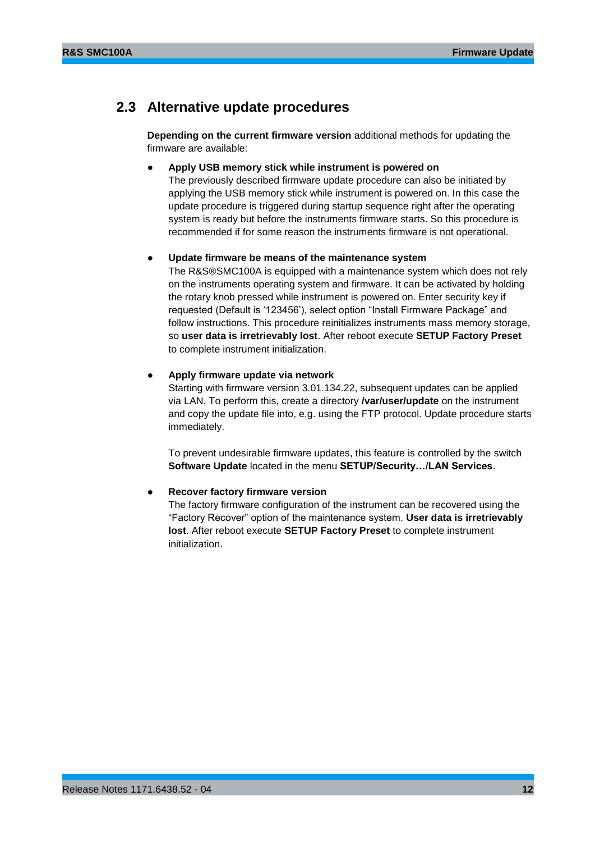## <span id="page-11-0"></span>**2.3 Alternative update procedures**

**Depending on the current firmware version** additional methods for updating the firmware are available:

#### ● **Apply USB memory stick while instrument is powered on**

The previously described firmware update procedure can also be initiated by applying the USB memory stick while instrument is powered on. In this case the update procedure is triggered during startup sequence right after the operating system is ready but before the instruments firmware starts. So this procedure is recommended if for some reason the instruments firmware is not operational.

#### Update firmware be means of the maintenance system

The R&S®SMC100A is equipped with a maintenance system which does not rely on the instruments operating system and firmware. It can be activated by holding the rotary knob pressed while instrument is powered on. Enter security key if requested (Default is '123456'), select option "Install Firmware Package" and follow instructions. This procedure reinitializes instruments mass memory storage, so **user data is irretrievably lost**. After reboot execute **SETUP Factory Preset** to complete instrument initialization.

#### ● **Apply firmware update via network**

Starting with firmware version 3.01.134.22, subsequent updates can be applied via LAN. To perform this, create a directory **/var/user/update** on the instrument and copy the update file into, e.g. using the FTP protocol. Update procedure starts immediately.

To prevent undesirable firmware updates, this feature is controlled by the switch **Software Update** located in the menu **SETUP/Security…/LAN Services**.

### **Recover factory firmware version**

The factory firmware configuration of the instrument can be recovered using the "Factory Recover" option of the maintenance system. **User data is irretrievably lost**. After reboot execute **SETUP Factory Preset** to complete instrument initialization.